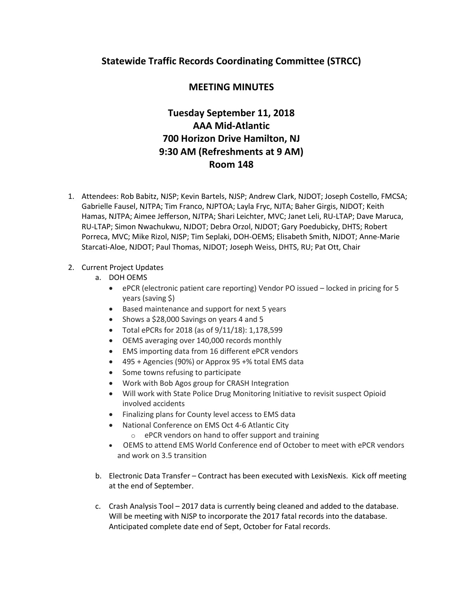## **Statewide Traffic Records Coordinating Committee (STRCC)**

## **MEETING MINUTES**

# **Tuesday September 11, 2018 AAA Mid-Atlantic 700 Horizon Drive Hamilton, NJ 9:30 AM (Refreshments at 9 AM) Room 148**

1. Attendees: Rob Babitz, NJSP; Kevin Bartels, NJSP; Andrew Clark, NJDOT; Joseph Costello, FMCSA; Gabrielle Fausel, NJTPA; Tim Franco, NJPTOA; Layla Fryc, NJTA; Baher Girgis, NJDOT; Keith Hamas, NJTPA; Aimee Jefferson, NJTPA; Shari Leichter, MVC; Janet Leli, RU-LTAP; Dave Maruca, RU-LTAP; Simon Nwachukwu, NJDOT; Debra Orzol, NJDOT; Gary Poedubicky, DHTS; Robert Porreca, MVC; Mike Rizol, NJSP; Tim Seplaki, DOH-OEMS; Elisabeth Smith, NJDOT; Anne-Marie Starcati-Aloe, NJDOT; Paul Thomas, NJDOT; Joseph Weiss, DHTS, RU; Pat Ott, Chair

### 2. Current Project Updates

- a. DOH OEMS
	- ePCR (electronic patient care reporting) Vendor PO issued locked in pricing for 5 years (saving \$)
	- Based maintenance and support for next 5 years
	- Shows a \$28,000 Savings on years 4 and 5
	- Total ePCRs for 2018 (as of 9/11/18): 1,178,599
	- OEMS averaging over 140,000 records monthly
	- EMS importing data from 16 different ePCR vendors
	- 495 + Agencies (90%) or Approx 95 +% total EMS data
	- Some towns refusing to participate
	- Work with Bob Agos group for CRASH Integration
	- Will work with State Police Drug Monitoring Initiative to revisit suspect Opioid involved accidents
	- Finalizing plans for County level access to EMS data
	- National Conference on EMS Oct 4-6 Atlantic City o ePCR vendors on hand to offer support and training
	- OEMS to attend EMS World Conference end of October to meet with ePCR vendors and work on 3.5 transition
- b. Electronic Data Transfer Contract has been executed with LexisNexis. Kick off meeting at the end of September.
- c. Crash Analysis Tool 2017 data is currently being cleaned and added to the database. Will be meeting with NJSP to incorporate the 2017 fatal records into the database. Anticipated complete date end of Sept, October for Fatal records.